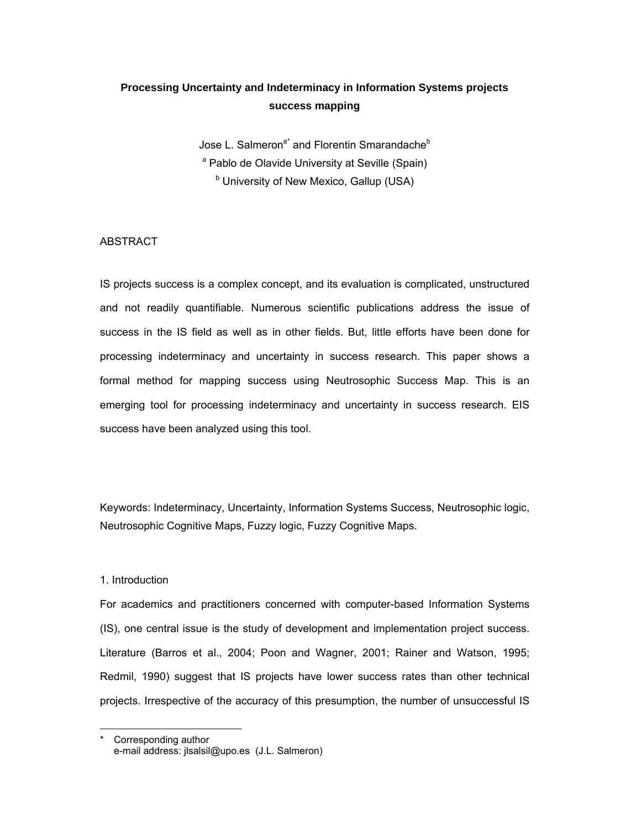# **Processing Uncertainty and Indeterminacy in Information Systems projects success mapping**

Jose L. Salmeron<sup>a\*</sup> and Florentin Smarandache<sup>b</sup> <sup>a</sup> Pablo de Olavide University at Seville (Spain) <sup>b</sup> University of New Mexico, Gallup (USA)

## ABSTRACT

IS projects success is a complex concept, and its evaluation is complicated, unstructured and not readily quantifiable. Numerous scientific publications address the issue of success in the IS field as well as in other fields. But, little efforts have been done for processing indeterminacy and uncertainty in success research. This paper shows a formal method for mapping success using Neutrosophic Success Map. This is an emerging tool for processing indeterminacy and uncertainty in success research. EIS success have been analyzed using this tool.

Keywords: Indeterminacy, Uncertainty, Information Systems Success, Neutrosophic logic, Neutrosophic Cognitive Maps, Fuzzy logic, Fuzzy Cognitive Maps.

### 1. Introduction

For academics and practitioners concerned with computer-based Information Systems (IS), one central issue is the study of development and implementation project success. Literature (Barros et al., 2004; Poon and Wagner, 2001; Rainer and Watson, 1995; Redmil, 1990) suggest that IS projects have lower success rates than other technical projects. Irrespective of the accuracy of this presumption, the number of unsuccessful IS

 $\overline{a}$ Corresponding author e-mail address: jlsalsil@upo.es (J.L. Salmeron)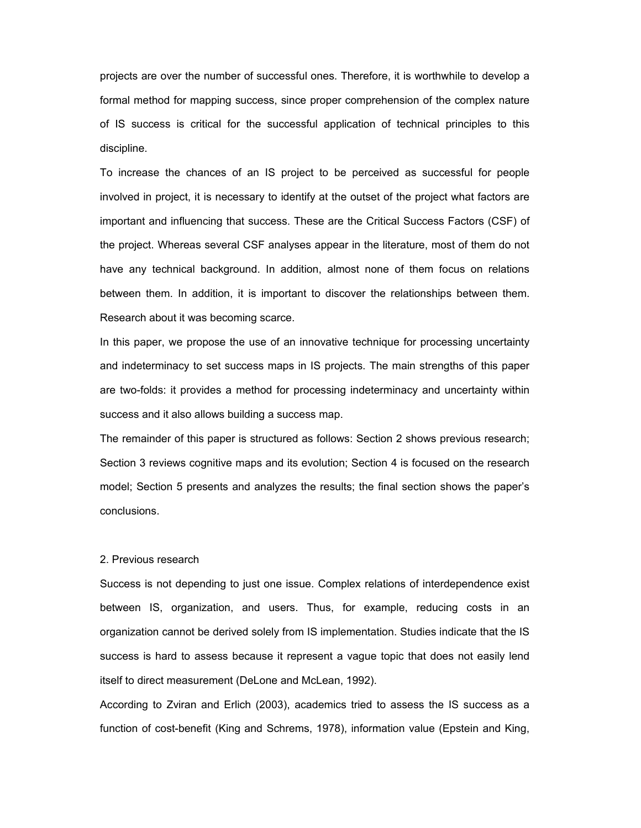projects are over the number of successful ones. Therefore, it is worthwhile to develop a formal method for mapping success, since proper comprehension of the complex nature of IS success is critical for the successful application of technical principles to this discipline.

To increase the chances of an IS project to be perceived as successful for people involved in project, it is necessary to identify at the outset of the project what factors are important and influencing that success. These are the Critical Success Factors (CSF) of the project. Whereas several CSF analyses appear in the literature, most of them do not have any technical background. In addition, almost none of them focus on relations between them. In addition, it is important to discover the relationships between them. Research about it was becoming scarce.

In this paper, we propose the use of an innovative technique for processing uncertainty and indeterminacy to set success maps in IS projects. The main strengths of this paper are two-folds: it provides a method for processing indeterminacy and uncertainty within success and it also allows building a success map.

The remainder of this paper is structured as follows: Section 2 shows previous research; Section 3 reviews cognitive maps and its evolution; Section 4 is focused on the research model; Section 5 presents and analyzes the results; the final section shows the paper's conclusions.

#### 2. Previous research

Success is not depending to just one issue. Complex relations of interdependence exist between IS, organization, and users. Thus, for example, reducing costs in an organization cannot be derived solely from IS implementation. Studies indicate that the IS success is hard to assess because it represent a vague topic that does not easily lend itself to direct measurement (DeLone and McLean, 1992).

According to Zviran and Erlich (2003), academics tried to assess the IS success as a function of cost-benefit (King and Schrems, 1978), information value (Epstein and King,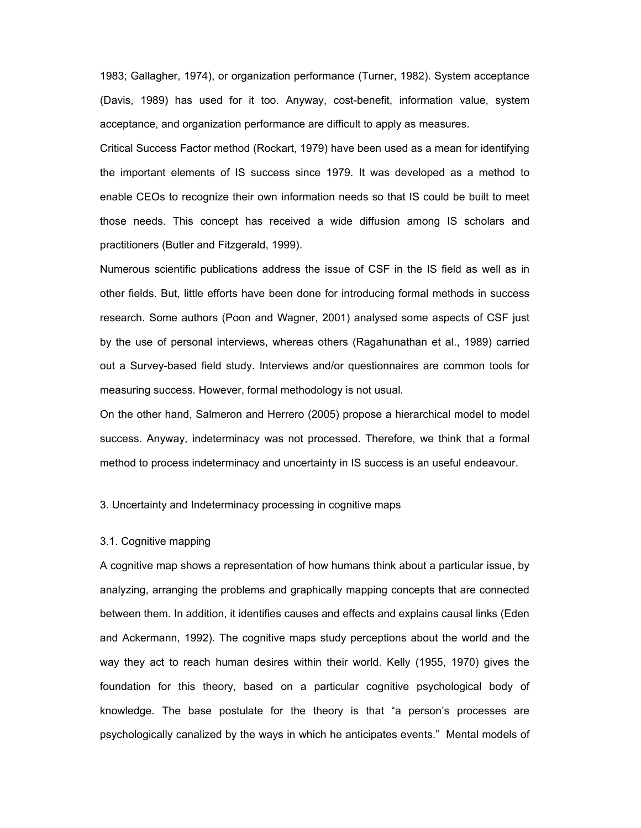1983; Gallagher, 1974), or organization performance (Turner, 1982). System acceptance (Davis, 1989) has used for it too. Anyway, cost-benefit, information value, system acceptance, and organization performance are difficult to apply as measures.

Critical Success Factor method (Rockart, 1979) have been used as a mean for identifying the important elements of IS success since 1979. It was developed as a method to enable CEOs to recognize their own information needs so that IS could be built to meet those needs. This concept has received a wide diffusion among IS scholars and practitioners (Butler and Fitzgerald, 1999).

Numerous scientific publications address the issue of CSF in the IS field as well as in other fields. But, little efforts have been done for introducing formal methods in success research. Some authors (Poon and Wagner, 2001) analysed some aspects of CSF just by the use of personal interviews, whereas others (Ragahunathan et al., 1989) carried out a Survey-based field study. Interviews and/or questionnaires are common tools for measuring success. However, formal methodology is not usual.

On the other hand, Salmeron and Herrero (2005) propose a hierarchical model to model success. Anyway, indeterminacy was not processed. Therefore, we think that a formal method to process indeterminacy and uncertainty in IS success is an useful endeavour.

#### 3. Uncertainty and Indeterminacy processing in cognitive maps

#### 3.1. Cognitive mapping

A cognitive map shows a representation of how humans think about a particular issue, by analyzing, arranging the problems and graphically mapping concepts that are connected between them. In addition, it identifies causes and effects and explains causal links (Eden and Ackermann, 1992). The cognitive maps study perceptions about the world and the way they act to reach human desires within their world. Kelly (1955, 1970) gives the foundation for this theory, based on a particular cognitive psychological body of knowledge. The base postulate for the theory is that "a person's processes are psychologically canalized by the ways in which he anticipates events." Mental models of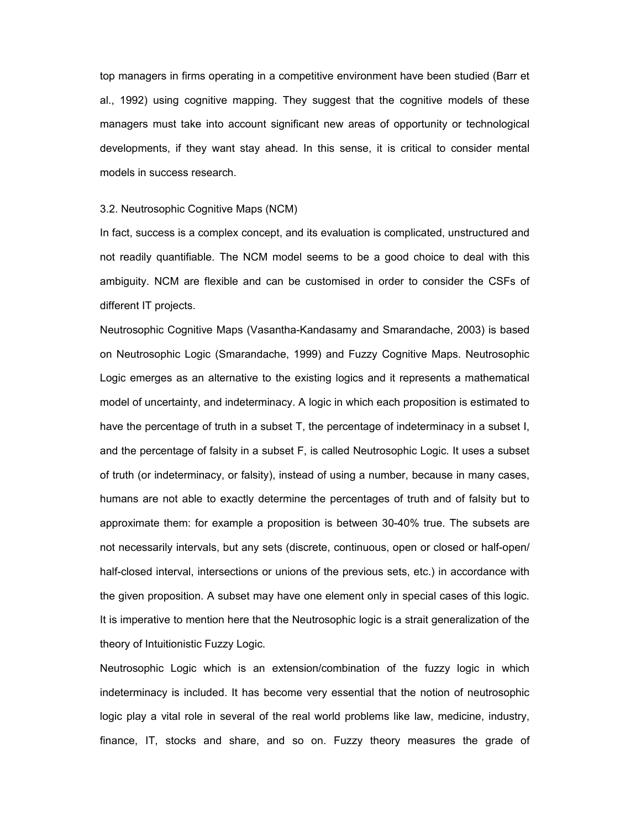top managers in firms operating in a competitive environment have been studied (Barr et al., 1992) using cognitive mapping. They suggest that the cognitive models of these managers must take into account significant new areas of opportunity or technological developments, if they want stay ahead. In this sense, it is critical to consider mental models in success research.

#### 3.2. Neutrosophic Cognitive Maps (NCM)

In fact, success is a complex concept, and its evaluation is complicated, unstructured and not readily quantifiable. The NCM model seems to be a good choice to deal with this ambiguity. NCM are flexible and can be customised in order to consider the CSFs of different IT projects.

Neutrosophic Cognitive Maps (Vasantha-Kandasamy and Smarandache, 2003) is based on Neutrosophic Logic (Smarandache, 1999) and Fuzzy Cognitive Maps. Neutrosophic Logic emerges as an alternative to the existing logics and it represents a mathematical model of uncertainty, and indeterminacy. A logic in which each proposition is estimated to have the percentage of truth in a subset T, the percentage of indeterminacy in a subset I, and the percentage of falsity in a subset F, is called Neutrosophic Logic. It uses a subset of truth (or indeterminacy, or falsity), instead of using a number, because in many cases, humans are not able to exactly determine the percentages of truth and of falsity but to approximate them: for example a proposition is between 30-40% true. The subsets are not necessarily intervals, but any sets (discrete, continuous, open or closed or half-open/ half-closed interval, intersections or unions of the previous sets, etc.) in accordance with the given proposition. A subset may have one element only in special cases of this logic. It is imperative to mention here that the Neutrosophic logic is a strait generalization of the theory of Intuitionistic Fuzzy Logic.

Neutrosophic Logic which is an extension/combination of the fuzzy logic in which indeterminacy is included. It has become very essential that the notion of neutrosophic logic play a vital role in several of the real world problems like law, medicine, industry, finance, IT, stocks and share, and so on. Fuzzy theory measures the grade of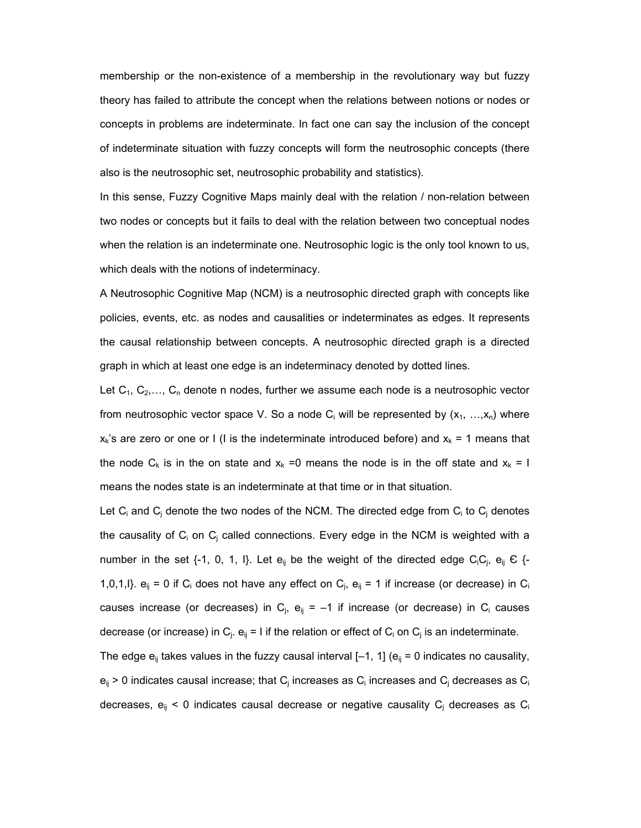membership or the non-existence of a membership in the revolutionary way but fuzzy theory has failed to attribute the concept when the relations between notions or nodes or concepts in problems are indeterminate. In fact one can say the inclusion of the concept of indeterminate situation with fuzzy concepts will form the neutrosophic concepts (there also is the neutrosophic set, neutrosophic probability and statistics).

In this sense, Fuzzy Cognitive Maps mainly deal with the relation / non-relation between two nodes or concepts but it fails to deal with the relation between two conceptual nodes when the relation is an indeterminate one. Neutrosophic logic is the only tool known to us, which deals with the notions of indeterminacy.

A Neutrosophic Cognitive Map (NCM) is a neutrosophic directed graph with concepts like policies, events, etc. as nodes and causalities or indeterminates as edges. It represents the causal relationship between concepts. A neutrosophic directed graph is a directed graph in which at least one edge is an indeterminacy denoted by dotted lines.

Let  $C_1, C_2, \ldots, C_n$  denote n nodes, further we assume each node is a neutrosophic vector from neutrosophic vector space V. So a node  $C_i$  will be represented by  $(x_1, ..., x_n)$  where  $x_k$ 's are zero or one or I (I is the indeterminate introduced before) and  $x_k = 1$  means that the node  $C_k$  is in the on state and  $x_k = 0$  means the node is in the off state and  $x_k = 1$ means the nodes state is an indeterminate at that time or in that situation.

Let  $C_i$  and  $C_j$  denote the two nodes of the NCM. The directed edge from  $C_i$  to  $C_j$  denotes the causality of  $C_i$  on  $C_j$  called connections. Every edge in the NCM is weighted with a number in the set  $\{-1, 0, 1, 1\}$ . Let  $e_{ij}$  be the weight of the directed edge C<sub>i</sub>C<sub>j</sub>,  $e_{ij} \in \{-1, 0, 1, 1\}$ . 1,0,1,I}.  $e_{ij}$  = 0 if C<sub>i</sub> does not have any effect on C<sub>j</sub>,  $e_{ij}$  = 1 if increase (or decrease) in C<sub>i</sub> causes increase (or decreases) in  $C_j$ ,  $e_{ij}$  = -1 if increase (or decrease) in  $C_i$  causes decrease (or increase) in  $C_j$ .  $e_{ij}$  = I if the relation or effect of  $C_i$  on  $C_j$  is an indeterminate. The edge  $e_{ij}$  takes values in the fuzzy causal interval [-1, 1] ( $e_{ij}$  = 0 indicates no causality,  $e_{ij}$  > 0 indicates causal increase; that  $C_j$  increases as  $C_i$  increases and  $C_j$  decreases as  $C_i$ 

decreases,  $e_{ij}$  < 0 indicates causal decrease or negative causality  $C_j$  decreases as  $C_i$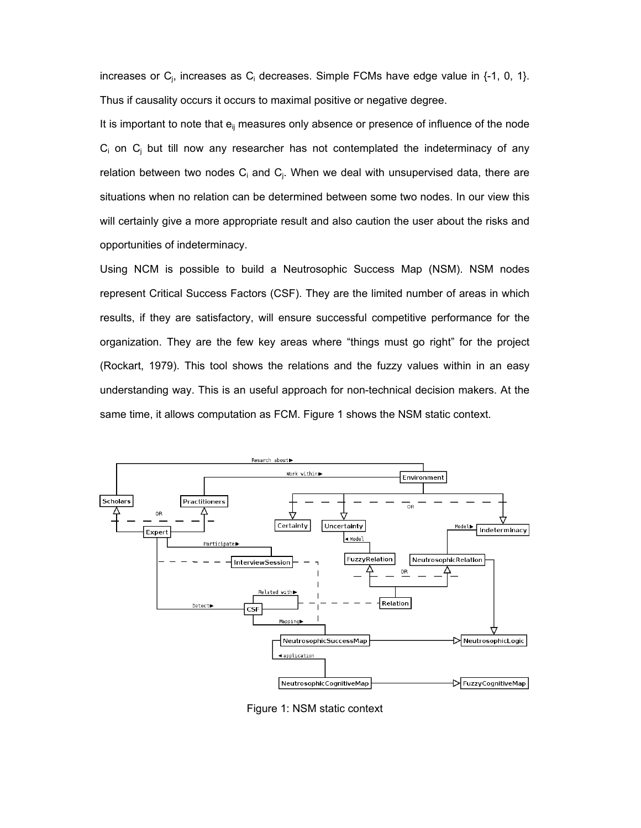increases or  $C_j$ , increases as  $C_i$  decreases. Simple FCMs have edge value in  $\{-1, 0, 1\}$ . Thus if causality occurs it occurs to maximal positive or negative degree.

It is important to note that  $e_{ii}$  measures only absence or presence of influence of the node  $C_i$  on  $C_j$  but till now any researcher has not contemplated the indeterminacy of any relation between two nodes  $C_i$  and  $C_j$ . When we deal with unsupervised data, there are situations when no relation can be determined between some two nodes. In our view this will certainly give a more appropriate result and also caution the user about the risks and opportunities of indeterminacy.

Using NCM is possible to build a Neutrosophic Success Map (NSM). NSM nodes represent Critical Success Factors (CSF). They are the limited number of areas in which results, if they are satisfactory, will ensure successful competitive performance for the organization. They are the few key areas where "things must go right" for the project (Rockart, 1979). This tool shows the relations and the fuzzy values within in an easy understanding way. This is an useful approach for non-technical decision makers. At the same time, it allows computation as FCM. Figure 1 shows the NSM static context.



Figure 1: NSM static context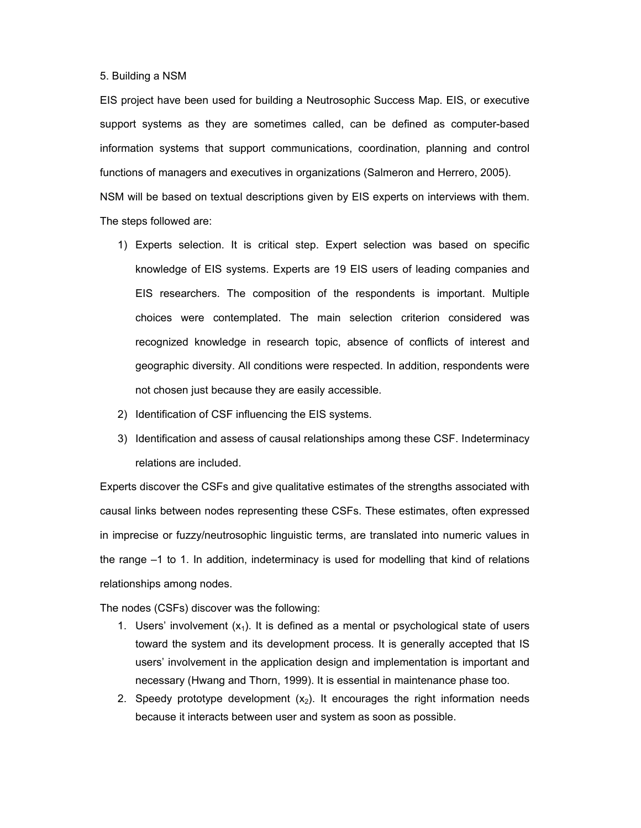5. Building a NSM

EIS project have been used for building a Neutrosophic Success Map. EIS, or executive support systems as they are sometimes called, can be defined as computer-based information systems that support communications, coordination, planning and control functions of managers and executives in organizations (Salmeron and Herrero, 2005).

NSM will be based on textual descriptions given by EIS experts on interviews with them. The steps followed are:

- 1) Experts selection. It is critical step. Expert selection was based on specific knowledge of EIS systems. Experts are 19 EIS users of leading companies and EIS researchers. The composition of the respondents is important. Multiple choices were contemplated. The main selection criterion considered was recognized knowledge in research topic, absence of conflicts of interest and geographic diversity. All conditions were respected. In addition, respondents were not chosen just because they are easily accessible.
- 2) Identification of CSF influencing the EIS systems.
- 3) Identification and assess of causal relationships among these CSF. Indeterminacy relations are included.

Experts discover the CSFs and give qualitative estimates of the strengths associated with causal links between nodes representing these CSFs. These estimates, often expressed in imprecise or fuzzy/neutrosophic linguistic terms, are translated into numeric values in the range –1 to 1. In addition, indeterminacy is used for modelling that kind of relations relationships among nodes.

The nodes (CSFs) discover was the following:

- 1. Users' involvement  $(x_1)$ . It is defined as a mental or psychological state of users toward the system and its development process. It is generally accepted that IS users' involvement in the application design and implementation is important and necessary (Hwang and Thorn, 1999). It is essential in maintenance phase too.
- 2. Speedy prototype development  $(x_2)$ . It encourages the right information needs because it interacts between user and system as soon as possible.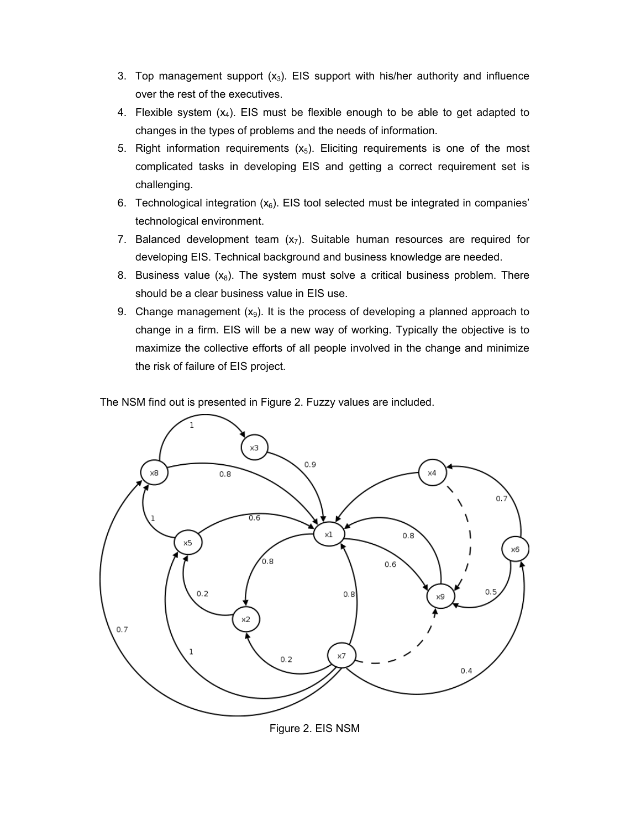- 3. Top management support  $(x_3)$ . EIS support with his/her authority and influence over the rest of the executives.
- 4. Flexible system  $(x_4)$ . EIS must be flexible enough to be able to get adapted to changes in the types of problems and the needs of information.
- 5. Right information requirements  $(x<sub>5</sub>)$ . Eliciting requirements is one of the most complicated tasks in developing EIS and getting a correct requirement set is challenging.
- 6. Technological integration  $(x_6)$ . EIS tool selected must be integrated in companies' technological environment.
- 7. Balanced development team  $(x_7)$ . Suitable human resources are required for developing EIS. Technical background and business knowledge are needed.
- 8. Business value  $(x_8)$ . The system must solve a critical business problem. There should be a clear business value in EIS use.
- 9. Change management  $(x<sub>9</sub>)$ . It is the process of developing a planned approach to change in a firm. EIS will be a new way of working. Typically the objective is to maximize the collective efforts of all people involved in the change and minimize the risk of failure of EIS project.

The NSM find out is presented in Figure 2. Fuzzy values are included.



Figure 2. EIS NSM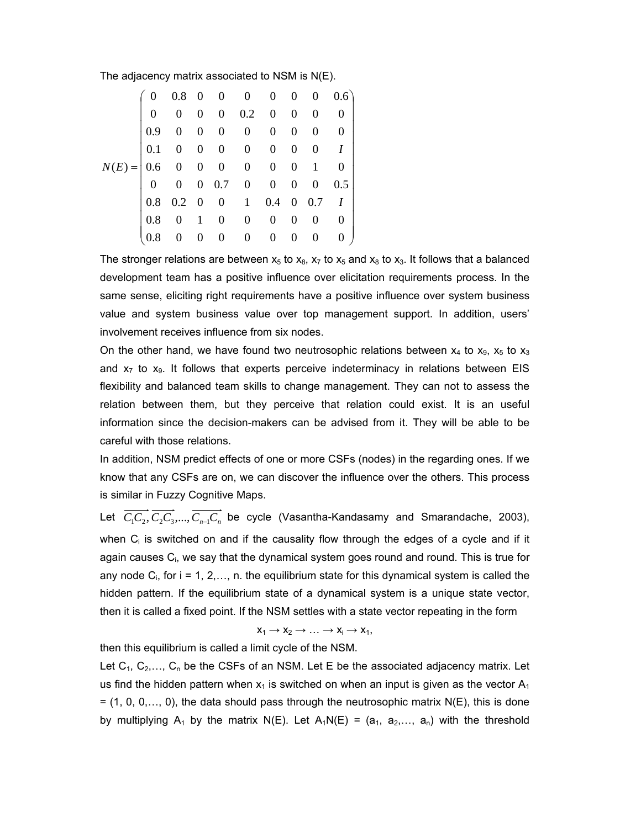The adjacency matrix associated to NSM is N(E).

| $N(E)= \begin{pmatrix} 0 & 0.8 & 0 & 0 & 0 & 0 & 0 & 0 & 0.6\ 0 & 0 & 0 & 0 & 0.2 & 0 & 0 & 0 & 0\ 0.9 & 0 & 0 & 0 & 0 & 0 & 0 & 0 & 0\ 0.1 & 0 & 0 & 0 & 0 & 0 & 0 & 0 & 1\ 0.6 & 0 & 0 & 0 & 0 & 0 & 0 & 0 & 1 & 0\ 0 & 0 & 0.7 & 0 & 0 & 0 & 0 & 0.5\ 0.8 & 0.2 & 0 & 0 & 1 & 0.4 & 0 & 0.7 & I$ |  |  |  |  |  |
|-----------------------------------------------------------------------------------------------------------------------------------------------------------------------------------------------------------------------------------------------------------------------------------------------------|--|--|--|--|--|
|                                                                                                                                                                                                                                                                                                     |  |  |  |  |  |

The stronger relations are between  $x_5$  to  $x_8$ ,  $x_7$  to  $x_5$  and  $x_8$  to  $x_3$ . It follows that a balanced development team has a positive influence over elicitation requirements process. In the same sense, eliciting right requirements have a positive influence over system business value and system business value over top management support. In addition, users' involvement receives influence from six nodes.

On the other hand, we have found two neutrosophic relations between  $x_4$  to  $x_9$ ,  $x_5$  to  $x_3$ and  $x<sub>7</sub>$  to  $x<sub>9</sub>$ . It follows that experts perceive indeterminacy in relations between EIS flexibility and balanced team skills to change management. They can not to assess the relation between them, but they perceive that relation could exist. It is an useful information since the decision-makers can be advised from it. They will be able to be careful with those relations.

In addition, NSM predict effects of one or more CSFs (nodes) in the regarding ones. If we know that any CSFs are on, we can discover the influence over the others. This process is similar in Fuzzy Cognitive Maps.

Let  $\overline{C_1C_2}, \overline{C_2C_3},..., \overline{C_{n-1}C_n}$  be cycle (Vasantha-Kandasamy and Smarandache, 2003), when  $C_i$  is switched on and if the causality flow through the edges of a cycle and if it again causes  $C_i$ , we say that the dynamical system goes round and round. This is true for any node  $C_i$ , for  $i = 1, 2, \ldots, n$ . the equilibrium state for this dynamical system is called the hidden pattern. If the equilibrium state of a dynamical system is a unique state vector, then it is called a fixed point. If the NSM settles with a state vector repeating in the form

$$
x_1 \to x_2 \to \ldots \to x_i \to x_1,
$$

then this equilibrium is called a limit cycle of the NSM.

Let  $C_1, C_2, \ldots, C_n$  be the CSFs of an NSM. Let E be the associated adjacency matrix. Let us find the hidden pattern when  $x_1$  is switched on when an input is given as the vector  $A_1$  $=$  (1, 0, 0,..., 0), the data should pass through the neutrosophic matrix  $N(E)$ , this is done by multiplying  $A_1$  by the matrix N(E). Let  $A_1N(E) = (a_1, a_2,..., a_n)$  with the threshold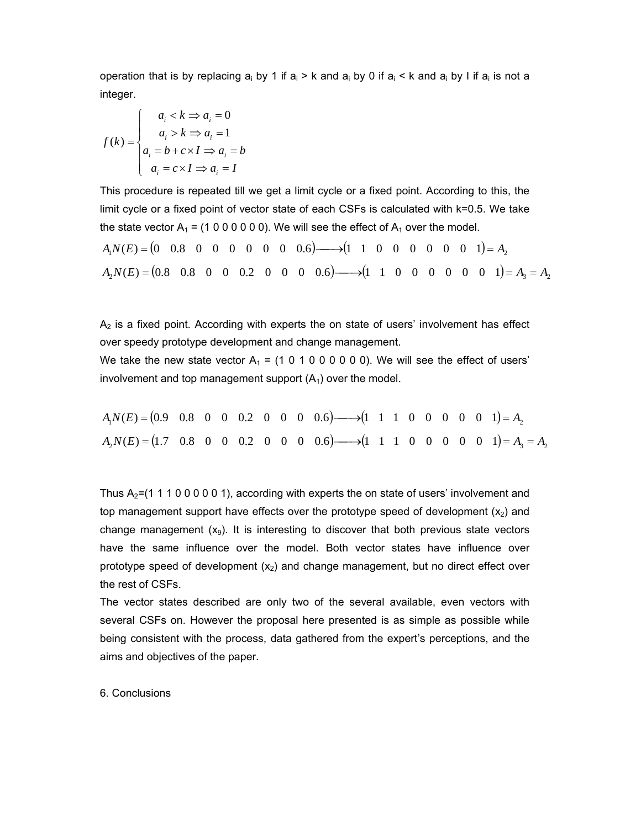operation that is by replacing  $a_i$  by 1 if  $a_i$  > k and  $a_i$  by 0 if  $a_i$  < k and  $a_i$  by l if  $a_i$  is not a integer.

$$
f(k) = \begin{cases} a_i < k \implies a_i = 0 \\ a_i > k \implies a_i = 1 \\ a_i = b + c \times I \implies a_i = b \\ a_i = c \times I \implies a_i = I \end{cases}
$$

This procedure is repeated till we get a limit cycle or a fixed point. According to this, the limit cycle or a fixed point of vector state of each CSFs is calculated with k=0.5. We take the state vector  $A_1 = (1 0 0 0 0 0 0)$ . We will see the effect of  $A_1$  over the model.

 $A_1 N(E) = \begin{pmatrix} 0 & 0.8 & 0 & 0 & 0 & 0 & 0 & 0 & 0 & 0 & 0 \end{pmatrix}$  (1 1 0 0 0 0 0 0 0 1) =  $A_2$  $(A, N(E) = (0.8 \ 0.8 \ 0.8 \ 0.0 \ 0.2 \ 0.0 \ 0.6) \longrightarrow (1 \ 1 \ 0 \ 0 \ 0 \ 0 \ 0.0 \ 1) = A_3 = A_2$ 

 $A<sub>2</sub>$  is a fixed point. According with experts the on state of users' involvement has effect over speedy prototype development and change management. We take the new state vector  $A_1 = (1 \ 0 \ 1 \ 0 \ 0 \ 0 \ 0 \ 0)$ . We will see the effect of users' involvement and top management support  $(A<sub>1</sub>)$  over the model.

| $A_1N(E) = (0.9 \t0.8 \t0.0 \t0.2 \t0.0 \t0.6) \rightarrow (1 \t1 \t1 \t0.0 \t0.0 \t1) = A_2$       |  |  |  |  |  |  |  |  |
|-----------------------------------------------------------------------------------------------------|--|--|--|--|--|--|--|--|
| $A_2N(E) = (1.7 \t0.8 \t0.0 \t0.2 \t0.0 \t0.6) \rightarrow (1 \t1 \t1 \t0.0 \t0.0 \t1) = A_3 = A_2$ |  |  |  |  |  |  |  |  |

Thus  $A_2$ =(1 1 1 0 0 0 0 0 1), according with experts the on state of users' involvement and top management support have effects over the prototype speed of development  $(x_2)$  and change management  $(x<sub>9</sub>)$ . It is interesting to discover that both previous state vectors have the same influence over the model. Both vector states have influence over prototype speed of development  $(x<sub>2</sub>)$  and change management, but no direct effect over the rest of CSFs.

The vector states described are only two of the several available, even vectors with several CSFs on. However the proposal here presented is as simple as possible while being consistent with the process, data gathered from the expert's perceptions, and the aims and objectives of the paper.

6. Conclusions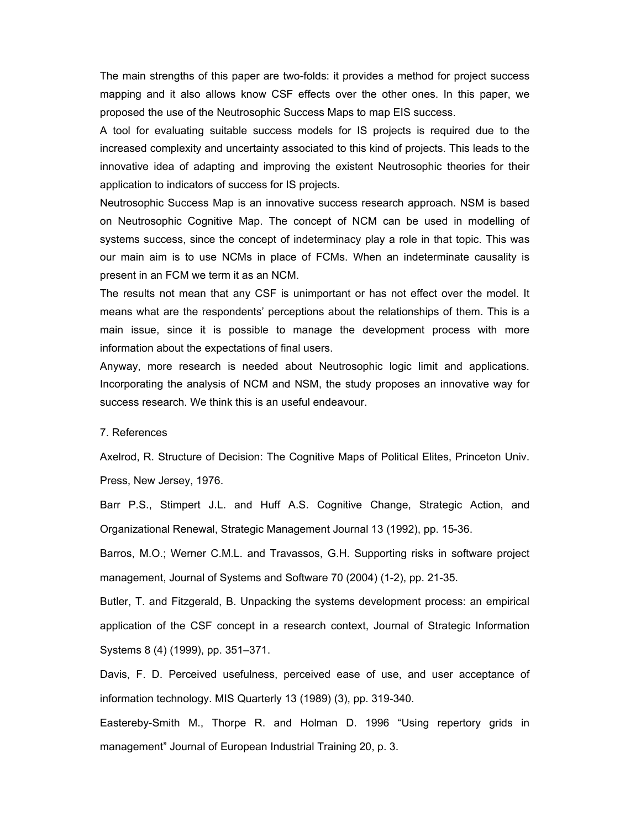The main strengths of this paper are two-folds: it provides a method for project success mapping and it also allows know CSF effects over the other ones. In this paper, we proposed the use of the Neutrosophic Success Maps to map EIS success.

A tool for evaluating suitable success models for IS projects is required due to the increased complexity and uncertainty associated to this kind of projects. This leads to the innovative idea of adapting and improving the existent Neutrosophic theories for their application to indicators of success for IS projects.

Neutrosophic Success Map is an innovative success research approach. NSM is based on Neutrosophic Cognitive Map. The concept of NCM can be used in modelling of systems success, since the concept of indeterminacy play a role in that topic. This was our main aim is to use NCMs in place of FCMs. When an indeterminate causality is present in an FCM we term it as an NCM.

The results not mean that any CSF is unimportant or has not effect over the model. It means what are the respondents' perceptions about the relationships of them. This is a main issue, since it is possible to manage the development process with more information about the expectations of final users.

Anyway, more research is needed about Neutrosophic logic limit and applications. Incorporating the analysis of NCM and NSM, the study proposes an innovative way for success research. We think this is an useful endeavour.

7. References

Axelrod, R. Structure of Decision: The Cognitive Maps of Political Elites, Princeton Univ. Press, New Jersey, 1976.

Barr P.S., Stimpert J.L. and Huff A.S. Cognitive Change, Strategic Action, and Organizational Renewal, Strategic Management Journal 13 (1992), pp. 15-36.

Barros, M.O.; Werner C.M.L. and Travassos, G.H. Supporting risks in software project management, Journal of Systems and Software 70 (2004) (1-2), pp. 21-35.

Butler, T. and Fitzgerald, B. Unpacking the systems development process: an empirical application of the CSF concept in a research context, Journal of Strategic Information Systems 8 (4) (1999), pp. 351–371.

Davis, F. D. Perceived usefulness, perceived ease of use, and user acceptance of information technology. MIS Quarterly 13 (1989) (3), pp. 319-340.

Eastereby-Smith M., Thorpe R. and Holman D. 1996 "Using repertory grids in management" Journal of European Industrial Training 20, p. 3.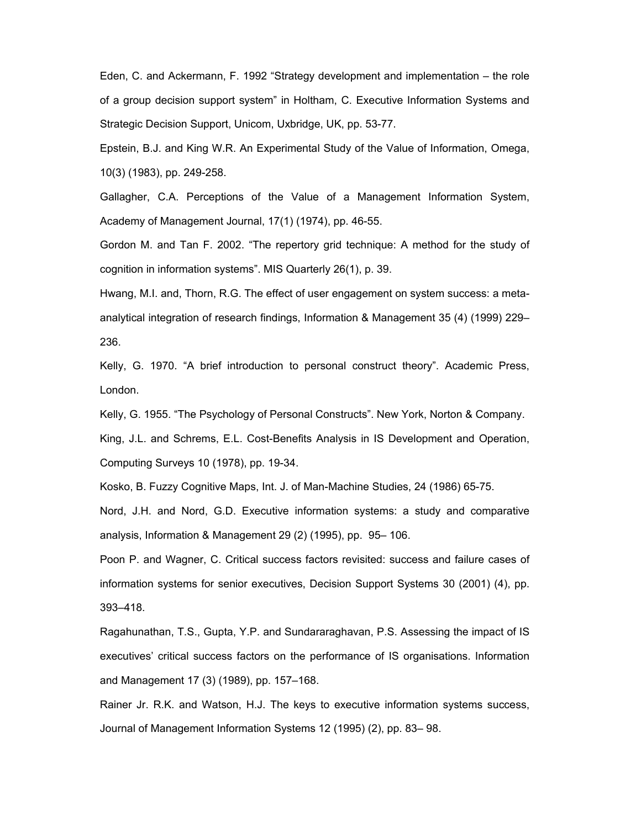Eden, C. and Ackermann, F. 1992 "Strategy development and implementation – the role of a group decision support system" in Holtham, C. Executive Information Systems and Strategic Decision Support, Unicom, Uxbridge, UK, pp. 53-77.

Epstein, B.J. and King W.R. An Experimental Study of the Value of Information, Omega, 10(3) (1983), pp. 249-258.

Gallagher, C.A. Perceptions of the Value of a Management Information System, Academy of Management Journal, 17(1) (1974), pp. 46-55.

Gordon M. and Tan F. 2002. "The repertory grid technique: A method for the study of cognition in information systems". MIS Quarterly 26(1), p. 39.

Hwang, M.I. and, Thorn, R.G. The effect of user engagement on system success: a metaanalytical integration of research findings, Information & Management 35 (4) (1999) 229– 236.

Kelly, G. 1970. "A brief introduction to personal construct theory". Academic Press, London.

Kelly, G. 1955. "The Psychology of Personal Constructs". New York, Norton & Company.

King, J.L. and Schrems, E.L. Cost-Benefits Analysis in IS Development and Operation, Computing Surveys 10 (1978), pp. 19-34.

Kosko, B. Fuzzy Cognitive Maps, Int. J. of Man-Machine Studies, 24 (1986) 65-75.

Nord, J.H. and Nord, G.D. Executive information systems: a study and comparative analysis, Information & Management 29 (2) (1995), pp. 95– 106.

Poon P. and Wagner, C. Critical success factors revisited: success and failure cases of information systems for senior executives, Decision Support Systems 30 (2001) (4), pp. 393–418.

Ragahunathan, T.S., Gupta, Y.P. and Sundararaghavan, P.S. Assessing the impact of IS executives' critical success factors on the performance of IS organisations. Information and Management 17 (3) (1989), pp. 157–168.

Rainer Jr. R.K. and Watson, H.J. The keys to executive information systems success, Journal of Management Information Systems 12 (1995) (2), pp. 83– 98.